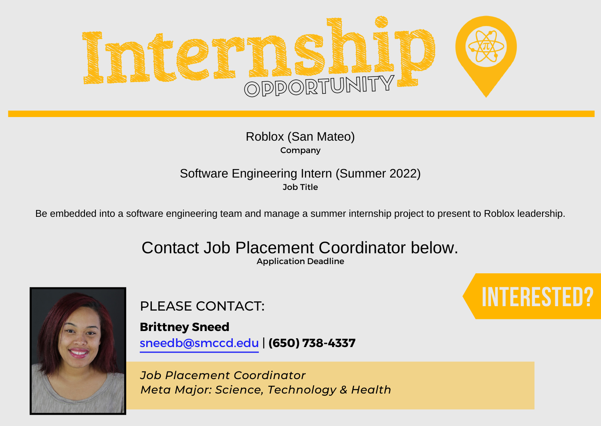

## Company Roblox (San Mateo)

## Job Title Software Engineering Intern (Summer 2022)

Be embedded into a software engineering team and manage a summer internship project to present to Roblox leadership.

#### Application Deadline Contact Job Placement Coordinator below.



PLEASE CONTACT:

**Brittney Sneed** sneedb@smccd.edu | **(650) 738-4337**

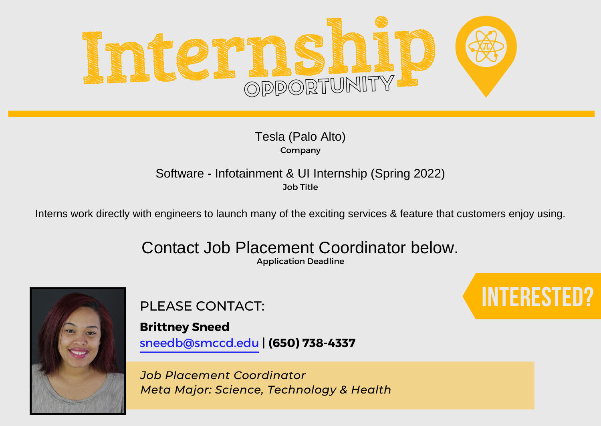

Company Tesla (Palo Alto)

# Job Title Software - Infotainment & UI Internship (Spring 2022)

Interns work directly with engineers to launch many of the exciting services & feature that customers enjoy using.

#### Application Deadline Contact Job Placement Coordinator below.



PLEASE CONTACT:

**Brittney Sneed** sneedb@smccd.edu | **(650) 738-4337**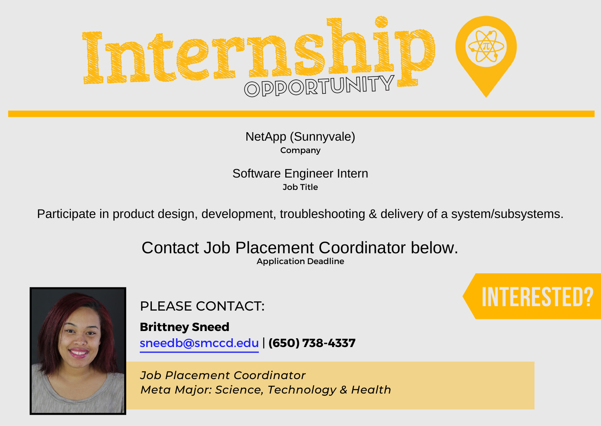

Company NetApp (Sunnyvale)

Job Title Software Engineer Intern

Participate in product design, development, troubleshooting & delivery of a system/subsystems.

Application Deadline Contact Job Placement Coordinator below.



PLEASE CONTACT:

**Brittney Sneed** sneedb@smccd.edu | **(650) 738-4337**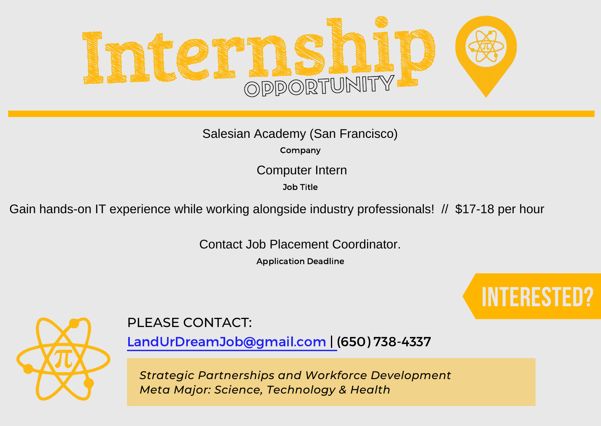

# Salesian Academy (San Francisco)<br>
Company<br>
Computer Intern

Company

Job Title

Gain hands-on IT experience while working alongside industry professionals! // \$17-18 per hour

Contact Job Placement Coordinator.

Application Deadline





# PLEASE CONTACT:

LandUrDreamJob@gmail.com | (650) 738-4337

*Strategic Partnerships and Workforce Development Meta Major: Science, Technology & Health*